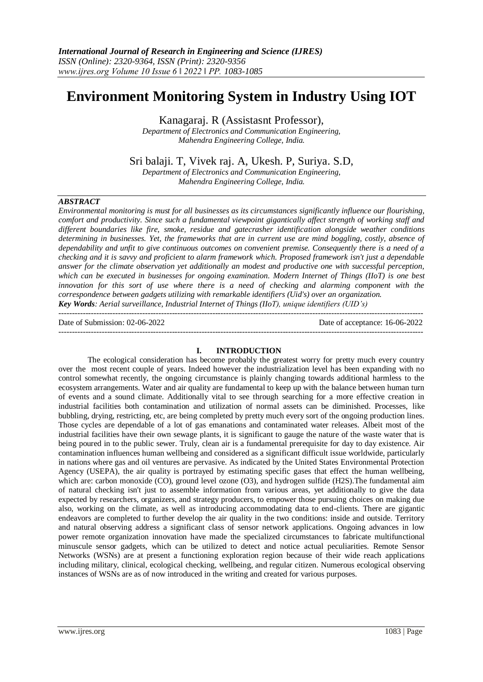# **Environment Monitoring System in Industry Using IOT**

Kanagaraj. R (Assistasnt Professor),

*Department of Electronics and Communication Engineering, Mahendra Engineering College, India.*

Sri balaji. T, Vivek raj. A, Ukesh. P, Suriya. S.D,

*Department of Electronics and Communication Engineering, Mahendra Engineering College, India.*

## *ABSTRACT*

*Environmental monitoring is must for all businesses as its circumstances significantly influence our flourishing, comfort and productivity. Since such a fundamental viewpoint gigantically affect strength of working staff and different boundaries like fire, smoke, residue and gatecrasher identification alongside weather conditions determining in businesses. Yet, the frameworks that are in current use are mind boggling, costly, absence of dependability and unfit to give continuous outcomes on convenient premise. Consequently there is a need of a checking and it is savvy and proficient to alarm framework which. Proposed framework isn't just a dependable answer for the climate observation yet additionally an modest and productive one with successful perception, which can be executed in businesses for ongoing examination. Modern Internet of Things (IIoT) is one best innovation for this sort of use where there is a need of checking and alarming component with the correspondence between gadgets utilizing with remarkable identifiers (Uid's) over an organization. Key Words: Aerial surveillance, Industrial Internet of Things (IIoT), unique identifiers (UID's)*

Date of Submission: 02-06-2022 Date of acceptance: 16-06-2022

#### **I. INTRODUCTION**

---------------------------------------------------------------------------------------------------------------------------------------

---------------------------------------------------------------------------------------------------------------------------------------

The ecological consideration has become probably the greatest worry for pretty much every country over the most recent couple of years. Indeed however the industrialization level has been expanding with no control somewhat recently, the ongoing circumstance is plainly changing towards additional harmless to the ecosystem arrangements. Water and air quality are fundamental to keep up with the balance between human turn of events and a sound climate. Additionally vital to see through searching for a more effective creation in industrial facilities both contamination and utilization of normal assets can be diminished. Processes, like bubbling, drying, restricting, etc, are being completed by pretty much every sort of the ongoing production lines. Those cycles are dependable of a lot of gas emanations and contaminated water releases. Albeit most of the industrial facilities have their own sewage plants, it is significant to gauge the nature of the waste water that is being poured in to the public sewer. Truly, clean air is a fundamental prerequisite for day to day existence. Air contamination influences human wellbeing and considered as a significant difficult issue worldwide, particularly in nations where gas and oil ventures are pervasive. As indicated by the United States Environmental Protection Agency (USEPA), the air quality is portrayed by estimating specific gases that effect the human wellbeing, which are: carbon monoxide (CO), ground level ozone (O3), and hydrogen sulfide (H2S). The fundamental aim of natural checking isn't just to assemble information from various areas, yet additionally to give the data expected by researchers, organizers, and strategy producers, to empower those pursuing choices on making due also, working on the climate, as well as introducing accommodating data to end-clients. There are gigantic endeavors are completed to further develop the air quality in the two conditions: inside and outside. Territory and natural observing address a significant class of sensor network applications. Ongoing advances in low power remote organization innovation have made the specialized circumstances to fabricate multifunctional minuscule sensor gadgets, which can be utilized to detect and notice actual peculiarities. Remote Sensor Networks (WSNs) are at present a functioning exploration region because of their wide reach applications including military, clinical, ecological checking, wellbeing, and regular citizen. Numerous ecological observing instances of WSNs are as of now introduced in the writing and created for various purposes.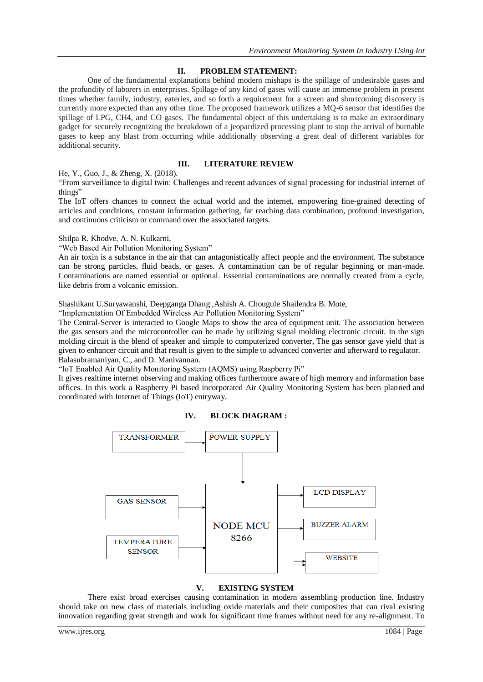# **II. PROBLEM STATEMENT:**

One of the fundamental explanations behind modern mishaps is the spillage of undesirable gases and the profundity of laborers in enterprises. Spillage of any kind of gases will cause an immense problem in present times whether family, industry, eateries, and so forth a requirement for a screen and shortcoming discovery is currently more expected than any other time. The proposed framework utilizes a MQ-6 sensor that identifies the spillage of LPG, CH4, and CO gases. The fundamental object of this undertaking is to make an extraordinary gadget for securely recognizing the breakdown of a jeopardized processing plant to stop the arrival of burnable gases to keep any blast from occurring while additionally observing a great deal of different variables for additional security.

## **III. LITERATURE REVIEW**

He, Y., Guo, J., & Zheng, X. (2018).

"From surveillance to digital twin: Challenges and recent advances of signal processing for industrial internet of things"

The IoT offers chances to connect the actual world and the internet, empowering fine-grained detecting of articles and conditions, constant information gathering, far reaching data combination, profound investigation, and continuous criticism or command over the associated targets.

Shilpa R. Khodve, A. N. Kulkarni,

"Web Based Air Pollution Monitoring System"

An air toxin is a substance in the air that can antagonistically affect people and the environment. The substance can be strong particles, fluid beads, or gases. A contamination can be of regular beginning or man-made. Contaminations are named essential or optional. Essential contaminations are normally created from a cycle, like debris from a volcanic emission.

Shashikant U.Suryawanshi, Deepganga Dhang ,Ashish A. Chougule Shailendra B. Mote,

"Implementation Of Embedded Wireless Air Pollution Monitoring System"

The Central-Server is interacted to Google Maps to show the area of equipment unit. The association between the gas sensors and the microcontroller can be made by utilizing signal molding electronic circuit. In the sign molding circuit is the blend of speaker and simple to computerized converter, The gas sensor gave yield that is given to enhancer circuit and that result is given to the simple to advanced converter and afterward to regulator. Balasubramaniyan, C., and D. Manivannan.

"IoT Enabled Air Quality Monitoring System (AQMS) using Raspberry Pi"

It gives realtime internet observing and making offices furthermore aware of high memory and information base offices. In this work a Raspberry Pi based incorporated Air Quality Monitoring System has been planned and coordinated with Internet of Things (IoT) entryway.





## **V. EXISTING SYSTEM**

There exist broad exercises causing contamination in modern assembling production line. Industry should take on new class of materials including oxide materials and their composites that can rival existing innovation regarding great strength and work for significant time frames without need for any re-alignment. To